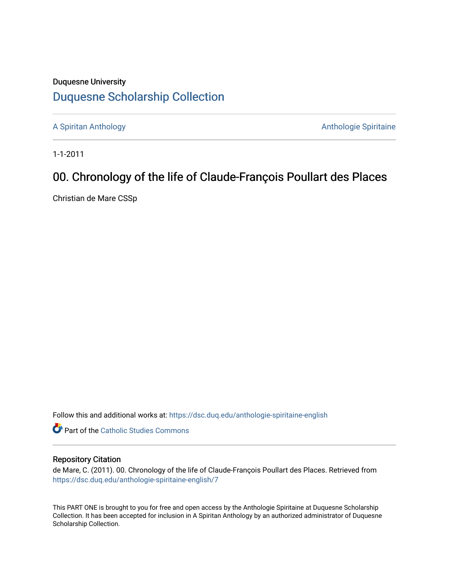## Duquesne University [Duquesne Scholarship Collection](https://dsc.duq.edu/)

[A Spiritan Anthology](https://dsc.duq.edu/anthologie-spiritaine-english) **Anthology** Anthologie Spiritaine

1-1-2011

## 00. Chronology of the life of Claude-François Poullart des Places

Christian de Mare CSSp

Follow this and additional works at: [https://dsc.duq.edu/anthologie-spiritaine-english](https://dsc.duq.edu/anthologie-spiritaine-english?utm_source=dsc.duq.edu%2Fanthologie-spiritaine-english%2F7&utm_medium=PDF&utm_campaign=PDFCoverPages)

**Part of the [Catholic Studies Commons](http://network.bepress.com/hgg/discipline/1294?utm_source=dsc.duq.edu%2Fanthologie-spiritaine-english%2F7&utm_medium=PDF&utm_campaign=PDFCoverPages)** 

## Repository Citation

de Mare, C. (2011). 00. Chronology of the life of Claude-François Poullart des Places. Retrieved from [https://dsc.duq.edu/anthologie-spiritaine-english/7](https://dsc.duq.edu/anthologie-spiritaine-english/7?utm_source=dsc.duq.edu%2Fanthologie-spiritaine-english%2F7&utm_medium=PDF&utm_campaign=PDFCoverPages) 

This PART ONE is brought to you for free and open access by the Anthologie Spiritaine at Duquesne Scholarship Collection. It has been accepted for inclusion in A Spiritan Anthology by an authorized administrator of Duquesne Scholarship Collection.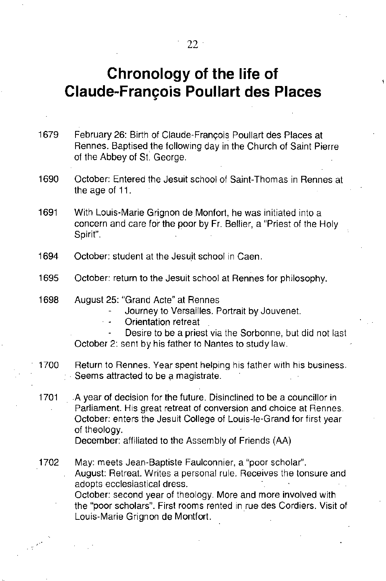## **Chronology of the life of Claude-Franc;:ois Poullart des Places**

1679 February 26: Birth of Claude-Francois Poullart des Places at Rennes. Baptised the following day in the Church of Saint Pierre of the Abbey of St. George.

1690 October: Entered the Jesuit school of Saint-Thomas in Rennes at the age of 11.

1691 With Louis-Marie Grignon de Monfort, he was initiated into a concern and care for the poor by Fr. Bellier, a "Priest of the Holy Spirit".

1694 October: student at the Jesuit school in Caen.

1695 October: return to the Jesuit school at Rennes for philosophy.

1698 August 25: "Grand Acte" at Rennes

Journey to Versailles. Portrait by Jouvenet.

Orientation retreat

Desire to be a priest via the Sorbonne, but did not last October 2: sent by his father to Nantes to study law.

1700 Return to Rennes. Year spent helping his father with his business. Seems attracted to be a magistrate.

1701 A year of decision for the future. Disinclined to be a councillor in Parliament. His great retreat of conversion and choice at Rennes. October: enters the Jesuit College of Louis-Ie-Grand for first year of theology.

December: affiliated to the Assembly of Friends (AA)

1702 May: meets Jean-Baptiste Faulconnier, a "poor scholar". August: Retreat. Writes a personal rule. Receives the tonsure and adopts ecclesiastical dress. October: second year of theology. More and more involved with

the "poor scholars". First rooms rented in rue des Cordiers. Visit of Louis-Marie Grignon de Montfort.